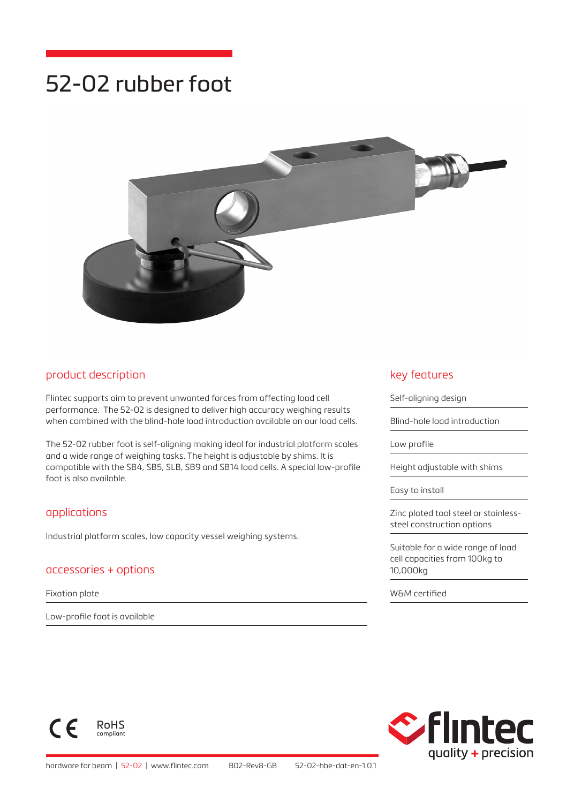# 52-02 rubber foot



#### product description

Flintec supports aim to prevent unwanted forces from affecting load cell performance. The 52-02 is designed to deliver high accuracy weighing results when combined with the blind-hole load introduction available on our load cells.

The 52-02 rubber foot is self-aligning making ideal for industrial platform scales and a wide range of weighing tasks. The height is adjustable by shims. It is compatible with the SB4, SB5, SLB, SB9 and SB14 load cells. A special low-profile foot is also available.

#### applications

Industrial platform scales, low capacity vessel weighing systems.

#### accessories + options

Fixation plate

 $\epsilon$ 

Low-profile foot is available

RoHS compliant

#### key features

Self-aligning design

Blind-hole load introduction

Low profile

Height adjustable with shims

Easy to install

Zinc plated tool steel or stainlesssteel construction options

Suitable for a wide range of load cell capacities from 100kg to 10,000kg

W&M certified

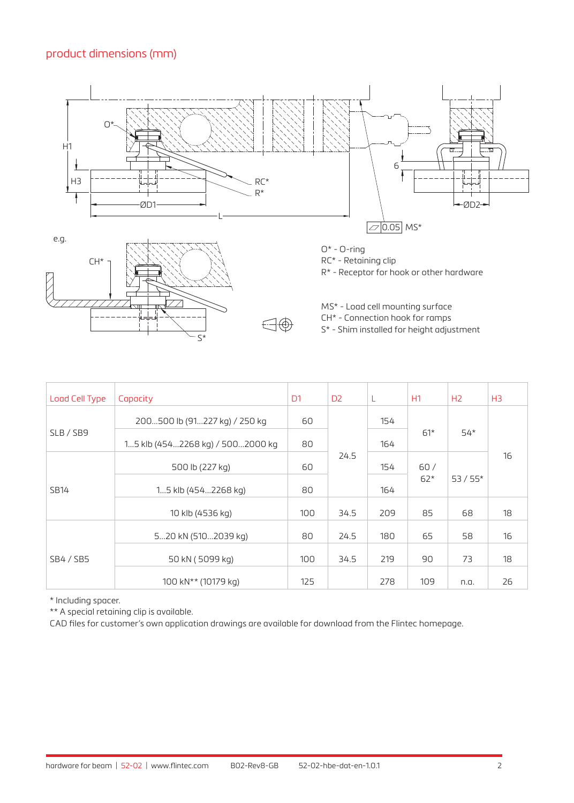## product dimensions (mm)







RC\* - Retaining clip

R\* - Receptor for hook or other hardware

MS\* - Load cell mounting surface

CH\* - Connection hook for ramps

S\* - Shim installed for height adjustment

| Load Cell Type   | Capacity                         | D <sub>1</sub> | D <sub>2</sub> | L   | H1           | H <sub>2</sub> | H <sub>3</sub> |
|------------------|----------------------------------|----------------|----------------|-----|--------------|----------------|----------------|
| SLB / SB9        | 200500 lb (91227 kg) / 250 kg    | 60             | 24.5           | 154 | $61*$        | $54*$          | 16             |
|                  | 15 klb (4542268 kg) / 5002000 kg | 80             |                | 164 |              |                |                |
| <b>SB14</b>      | 500 lb (227 kg)                  | 60             |                | 154 | 60/<br>$62*$ | $53/55*$       |                |
|                  | 15 klb (4542268 kg)              | 80             |                | 164 |              |                |                |
|                  | 10 klb (4536 kg)                 | 100            | 34.5           | 209 | 85           | 68             | 18             |
| <b>SB4 / SB5</b> | 520 kN (5102039 kg)              | 80             | 24.5           | 180 | 65           | 58             | 16             |
|                  | 50 kN (5099 kg)                  | 100            | 34.5           | 219 | 90           | 73             | 18             |
|                  | 100 kN <sup>**</sup> (10179 kg)  | 125            |                | 278 | 109          | n.a.           | 26             |

\* Including spacer.

\*\* A special retaining clip is available.

CAD files for customer's own application drawings are available for download from the Flintec homepage.